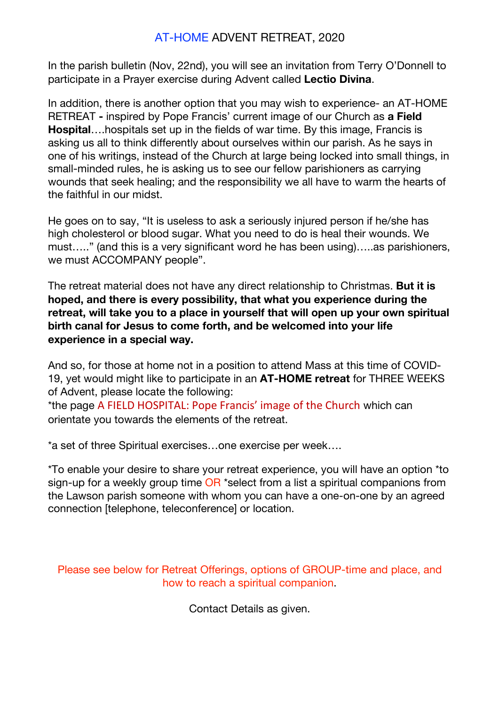## AT-HOME ADVENT RETREAT, 2020

In the parish bulletin (Nov, 22nd), you will see an invitation from Terry O'Donnell to participate in a Prayer exercise during Advent called **Lectio Divina**.

In addition, there is another option that you may wish to experience- an AT-HOME RETREAT **-** inspired by Pope Francis' current image of our Church as **a Field Hospital**….hospitals set up in the fields of war time. By this image, Francis is asking us all to think differently about ourselves within our parish. As he says in one of his writings, instead of the Church at large being locked into small things, in small-minded rules, he is asking us to see our fellow parishioners as carrying wounds that seek healing; and the responsibility we all have to warm the hearts of the faithful in our midst.

He goes on to say, "It is useless to ask a seriously injured person if he/she has high cholesterol or blood sugar. What you need to do is heal their wounds. We must….." (and this is a very significant word he has been using)…..as parishioners, we must ACCOMPANY people".

The retreat material does not have any direct relationship to Christmas. **But it is hoped, and there is every possibility, that what you experience during the retreat, will take you to a place in yourself that will open up your own spiritual birth canal for Jesus to come forth, and be welcomed into your life experience in a special way.**

And so, for those at home not in a position to attend Mass at this time of COVID-19, yet would might like to participate in an **AT-HOME retreat** for THREE WEEKS of Advent, please locate the following:

\*the page A FIELD HOSPITAL: Pope Francis' image of the Church which can orientate you towards the elements of the retreat.

\*a set of three Spiritual exercises…one exercise per week….

\*To enable your desire to share your retreat experience, you will have an option \*to sign-up for a weekly group time OR \*select from a list a spiritual companions from the Lawson parish someone with whom you can have a one-on-one by an agreed connection [telephone, teleconference] or location.

Please see below for Retreat Offerings, options of GROUP-time and place, and how to reach a spiritual companion.

Contact Details as given.